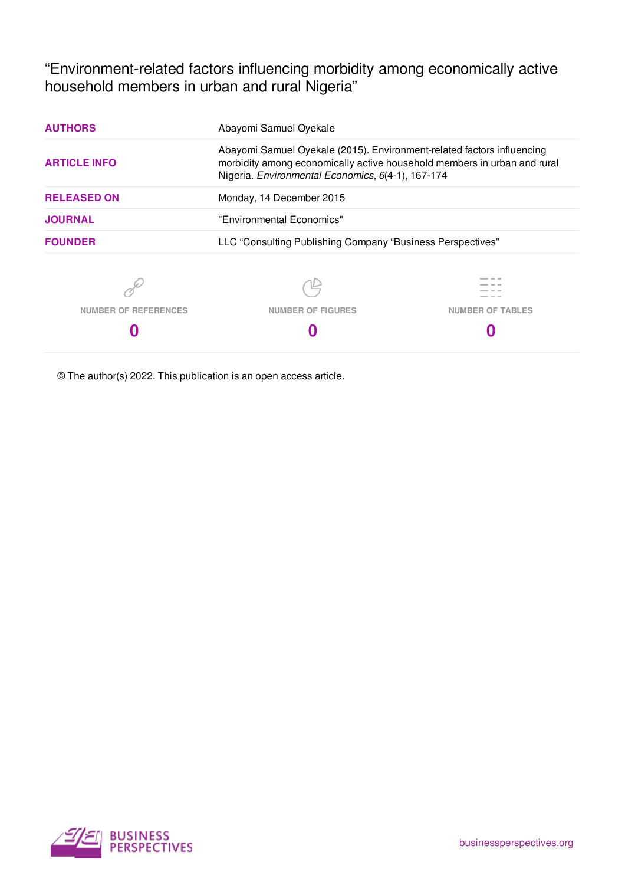"Environment-related factors influencing morbidity among economically active household members in urban and rural Nigeria"

| Abayomi Samuel Oyekale                                                                                                                                                                                  |  |  |  |  |
|---------------------------------------------------------------------------------------------------------------------------------------------------------------------------------------------------------|--|--|--|--|
| Abayomi Samuel Oyekale (2015). Environment-related factors influencing<br>morbidity among economically active household members in urban and rural<br>Nigeria. Environmental Economics, 6(4-1), 167-174 |  |  |  |  |
| Monday, 14 December 2015                                                                                                                                                                                |  |  |  |  |
| "Environmental Economics"                                                                                                                                                                               |  |  |  |  |
| LLC "Consulting Publishing Company "Business Perspectives"                                                                                                                                              |  |  |  |  |
|                                                                                                                                                                                                         |  |  |  |  |
| <b>NUMBER OF FIGURES</b><br><b>NUMBER OF TABLES</b>                                                                                                                                                     |  |  |  |  |
|                                                                                                                                                                                                         |  |  |  |  |
|                                                                                                                                                                                                         |  |  |  |  |

© The author(s) 2022. This publication is an open access article.

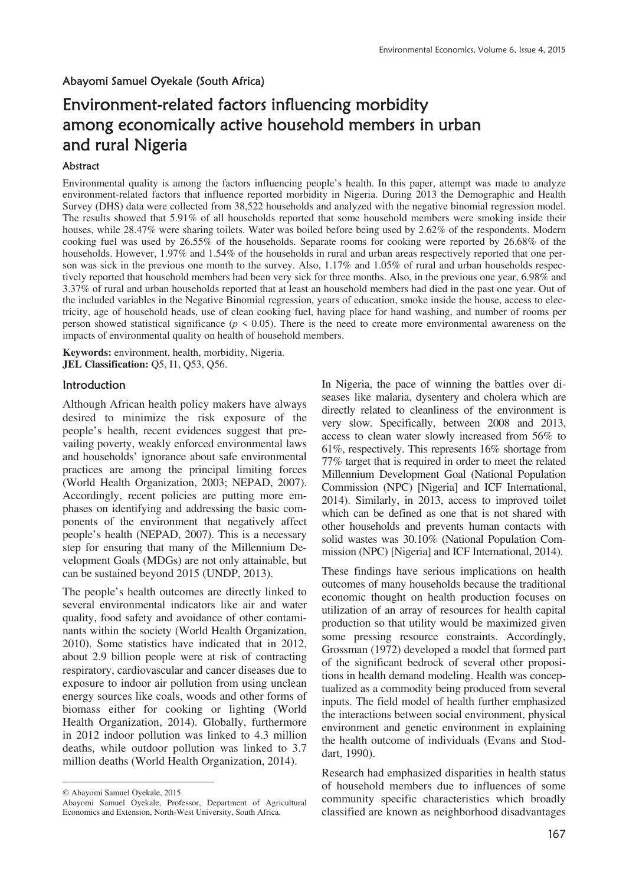## Abayomi Samuel Oyekale (South Africa)

# Environment-related factors influencing morbidity among economically active household members in urban and rural Nigeria

## Abstract

Environmental quality is among the factors influencing people's health. In this paper, attempt was made to analyze environment-related factors that influence reported morbidity in Nigeria. During 2013 the Demographic and Health Survey (DHS) data were collected from 38,522 households and analyzed with the negative binomial regression model. The results showed that 5.91% of all households reported that some household members were smoking inside their houses, while 28.47% were sharing toilets. Water was boiled before being used by 2.62% of the respondents. Modern cooking fuel was used by 26.55% of the households. Separate rooms for cooking were reported by 26.68% of the households. However, 1.97% and 1.54% of the households in rural and urban areas respectively reported that one person was sick in the previous one month to the survey. Also, 1.17% and 1.05% of rural and urban households respectively reported that household members had been very sick for three months. Also, in the previous one year, 6.98% and 3.37% of rural and urban households reported that at least an household members had died in the past one year. Out of the included variables in the Negative Binomial regression, years of education, smoke inside the house, access to electricity, age of household heads, use of clean cooking fuel, having place for hand washing, and number of rooms per person showed statistical significance ( $p < 0.05$ ). There is the need to create more environmental awareness on the impacts of environmental quality on health of household members.

**Keywords:** environment, health, morbidity, Nigeria. **JEL Classification:** Q5, I1, Q53, Q56.

#### Introduction

Although African health policy makers have always desired to minimize the risk exposure of the people's health, recent evidences suggest that prevailing poverty, weakly enforced environmental laws and households' ignorance about safe environmental practices are among the principal limiting forces (World Health Organization, 2003; NEPAD, 2007). Accordingly, recent policies are putting more emphases on identifying and addressing the basic components of the environment that negatively affect people's health (NEPAD, 2007). This is a necessary step for ensuring that many of the Millennium Development Goals (MDGs) are not only attainable, but can be sustained beyond 2015 (UNDP, 2013).

The people's health outcomes are directly linked to several environmental indicators like air and water quality, food safety and avoidance of other contaminants within the society (World Health Organization, 2010). Some statistics have indicated that in 2012, about 2.9 billion people were at risk of contracting respiratory, cardiovascular and cancer diseases due to exposure to indoor air pollution from using unclean energy sources like coals, woods and other forms of biomass either for cooking or lighting (World Health Organization, 2014). Globally, furthermore in 2012 indoor pollution was linked to 4.3 million deaths, while outdoor pollution was linked to 3.7 million deaths (World Health Organization, 2014).

 $\overline{a}$ 

In Nigeria, the pace of winning the battles over diseases like malaria, dysentery and cholera which are directly related to cleanliness of the environment is very slow. Specifically, between 2008 and 2013, access to clean water slowly increased from 56% to 61%, respectively. This represents 16% shortage from 77% target that is required in order to meet the related Millennium Development Goal (National Population Commission (NPC) [Nigeria] and ICF International, 2014). Similarly, in 2013, access to improved toilet which can be defined as one that is not shared with other households and prevents human contacts with solid wastes was 30.10% (National Population Commission (NPC) [Nigeria] and ICF International, 2014).

These findings have serious implications on health outcomes of many households because the traditional economic thought on health production focuses on utilization of an array of resources for health capital production so that utility would be maximized given some pressing resource constraints. Accordingly, Grossman (1972) developed a model that formed part of the significant bedrock of several other propositions in health demand modeling. Health was conceptualized as a commodity being produced from several inputs. The field model of health further emphasized the interactions between social environment, physical environment and genetic environment in explaining the health outcome of individuals (Evans and Stoddart, 1990).

Research had emphasized disparities in health status of household members due to influences of some community specific characteristics which broadly classified are known as neighborhood disadvantages

Abayomi Samuel Oyekale, 2015.

Abayomi Samuel Oyekale, Professor, Department of Agricultural Economics and Extension, North-West University, South Africa.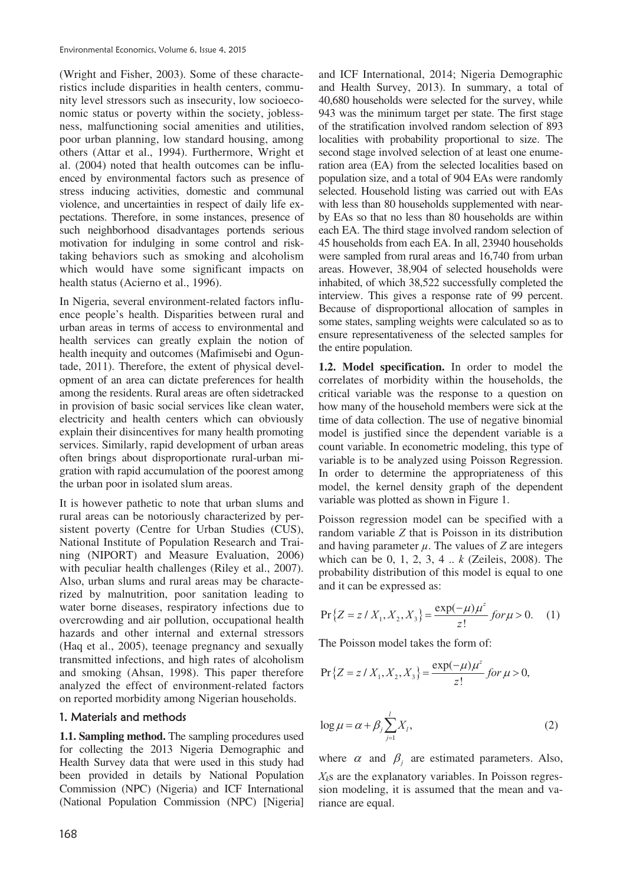(Wright and Fisher, 2003). Some of these characteristics include disparities in health centers, community level stressors such as insecurity, low socioeconomic status or poverty within the society, joblessness, malfunctioning social amenities and utilities, poor urban planning, low standard housing, among others (Attar et al., 1994). Furthermore, Wright et al. (2004) noted that health outcomes can be influenced by environmental factors such as presence of stress inducing activities, domestic and communal violence, and uncertainties in respect of daily life expectations. Therefore, in some instances, presence of such neighborhood disadvantages portends serious motivation for indulging in some control and risktaking behaviors such as smoking and alcoholism which would have some significant impacts on health status (Acierno et al., 1996).

In Nigeria, several environment-related factors influence people's health. Disparities between rural and urban areas in terms of access to environmental and health services can greatly explain the notion of health inequity and outcomes (Mafimisebi and Oguntade, 2011). Therefore, the extent of physical development of an area can dictate preferences for health among the residents. Rural areas are often sidetracked in provision of basic social services like clean water, electricity and health centers which can obviously explain their disincentives for many health promoting services. Similarly, rapid development of urban areas often brings about disproportionate rural-urban migration with rapid accumulation of the poorest among the urban poor in isolated slum areas.

It is however pathetic to note that urban slums and rural areas can be notoriously characterized by persistent poverty (Centre for Urban Studies (CUS), National Institute of Population Research and Training (NIPORT) and Measure Evaluation, 2006) with peculiar health challenges (Riley et al., 2007). Also, urban slums and rural areas may be characterized by malnutrition, poor sanitation leading to water borne diseases, respiratory infections due to overcrowding and air pollution, occupational health hazards and other internal and external stressors (Haq et al., 2005), teenage pregnancy and sexually transmitted infections, and high rates of alcoholism and smoking (Ahsan, 1998). This paper therefore analyzed the effect of environment-related factors on reported morbidity among Nigerian households.

#### 1. Materials and methods

**1.1. Sampling method.** The sampling procedures used for collecting the 2013 Nigeria Demographic and Health Survey data that were used in this study had been provided in details by National Population Commission (NPC) (Nigeria) and ICF International (National Population Commission (NPC) [Nigeria]

and ICF International, 2014; Nigeria Demographic and Health Survey, 2013). In summary, a total of 40,680 households were selected for the survey, while 943 was the minimum target per state. The first stage of the stratification involved random selection of 893 localities with probability proportional to size. The second stage involved selection of at least one enumeration area (EA) from the selected localities based on population size, and a total of 904 EAs were randomly selected. Household listing was carried out with EAs with less than 80 households supplemented with nearby EAs so that no less than 80 households are within each EA. The third stage involved random selection of 45 households from each EA. In all, 23940 households were sampled from rural areas and 16,740 from urban areas. However, 38,904 of selected households were inhabited, of which 38,522 successfully completed the interview. This gives a response rate of 99 percent. Because of disproportional allocation of samples in some states, sampling weights were calculated so as to ensure representativeness of the selected samples for the entire population.

**1.2. Model specification.** In order to model the correlates of morbidity within the households, the critical variable was the response to a question on how many of the household members were sick at the time of data collection. The use of negative binomial model is justified since the dependent variable is a count variable. In econometric modeling, this type of variable is to be analyzed using Poisson Regression. In order to determine the appropriateness of this model, the kernel density graph of the dependent variable was plotted as shown in Figure 1.

Poisson regression model can be specified with a random variable *Z* that is Poisson in its distribution and having parameter  $\mu$ . The values of *Z* are integers which can be 0, 1, 2, 3, 4 .. *k* (Zeileis, 2008). The probability distribution of this model is equal to one and it can be expressed as:

$$
\Pr\{Z = z \mid X_1, X_2, X_3\} = \frac{\exp(-\mu)\mu^z}{z!} \text{ for } \mu > 0. \quad (1)
$$

The Poisson model takes the form of:

$$
\Pr\{Z = z \mid X_1, X_2, X_3\} = \frac{\exp(-\mu)\mu^z}{z!} \text{ for } \mu > 0,
$$

$$
\log \mu = \alpha + \beta_j \sum_{j=1}^{l} X_j,
$$
\n(2)

where  $\alpha$  and  $\beta_j$  are estimated parameters. Also,  $X_k$ s are the explanatory variables. In Poisson regression modeling, it is assumed that the mean and variance are equal.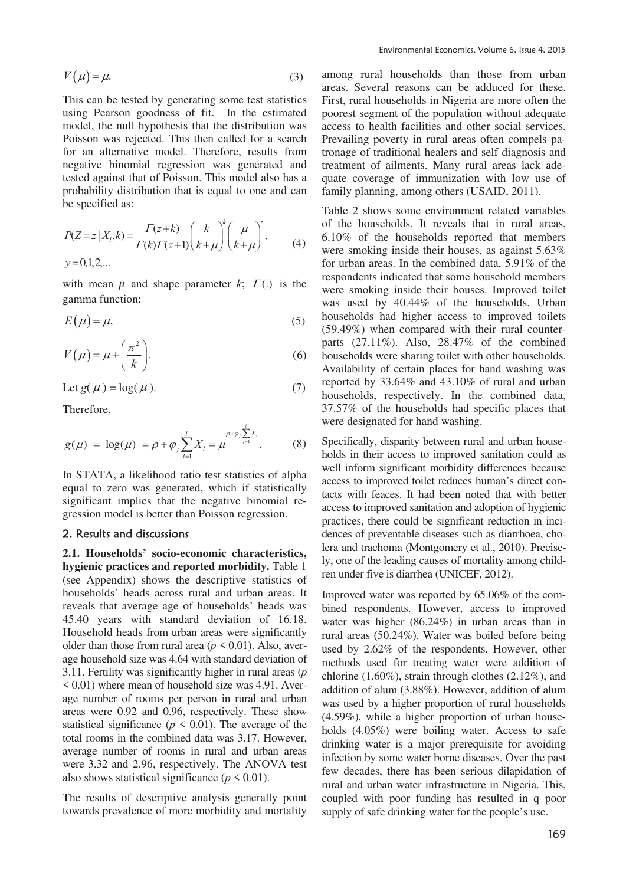$$
V(\mu) = \mu. \tag{3}
$$

This can be tested by generating some test statistics using Pearson goodness of fit. In the estimated model, the null hypothesis that the distribution was Poisson was rejected. This then called for a search for an alternative model. Therefore, results from negative binomial regression was generated and tested against that of Poisson. This model also has a probability distribution that is equal to one and can be specified as:

$$
P(Z=z|X_i,k) = \frac{\Gamma(z+k)}{\Gamma(k)\Gamma(z+1)} \left(\frac{k}{k+\mu}\right)^{k} \left(\frac{\mu}{k+\mu}\right)^{z},\tag{4}
$$

$$
y=0,1,2,\ldots
$$

with mean  $\mu$  and shape parameter  $k$ ;  $\Gamma$ (.) is the gamma function:

$$
E(\mu) = \mu,\tag{5}
$$

$$
V(\mu) = \mu + \left(\frac{\pi^2}{k}\right).
$$
 (6)

$$
Let g(\mu) = log(\mu). \tag{7}
$$

Therefore,

$$
g(\mu) = \log(\mu) = \rho + \varphi_j \sum_{j=1}^{l} X_j = \mu^{\rho + \varphi_j \sum_{j=1}^{k} X_i}.
$$
 (8)

In STATA, a likelihood ratio test statistics of alpha equal to zero was generated, which if statistically significant implies that the negative binomial regression model is better than Poisson regression.

## 2. Results and discussions

**2.1. Households' socio-economic characteristics, hygienic practices and reported morbidity.** Table 1 (see Appendix) shows the descriptive statistics of households' heads across rural and urban areas. It reveals that average age of households' heads was 45.40 years with standard deviation of 16.18. Household heads from urban areas were significantly older than those from rural area ( $p \le 0.01$ ). Also, average household size was 4.64 with standard deviation of 3.11. Fertility was significantly higher in rural areas (*p* < 0.01) where mean of household size was 4.91. Average number of rooms per person in rural and urban areas were 0.92 and 0.96, respectively. These show statistical significance ( $p \le 0.01$ ). The average of the total rooms in the combined data was 3.17. However, average number of rooms in rural and urban areas were 3.32 and 2.96, respectively. The ANOVA test also shows statistical significance ( $p \le 0.01$ ).

The results of descriptive analysis generally point towards prevalence of more morbidity and mortality among rural households than those from urban areas. Several reasons can be adduced for these. First, rural households in Nigeria are more often the poorest segment of the population without adequate access to health facilities and other social services. Prevailing poverty in rural areas often compels patronage of traditional healers and self diagnosis and treatment of ailments. Many rural areas lack adequate coverage of immunization with low use of family planning, among others (USAID, 2011).

Table 2 shows some environment related variables of the households. It reveals that in rural areas, 6.10% of the households reported that members were smoking inside their houses, as against 5.63% for urban areas. In the combined data, 5.91% of the respondents indicated that some household members were smoking inside their houses. Improved toilet was used by 40.44% of the households. Urban households had higher access to improved toilets (59.49%) when compared with their rural counterparts (27.11%). Also, 28.47% of the combined households were sharing toilet with other households. Availability of certain places for hand washing was reported by 33.64% and 43.10% of rural and urban households, respectively. In the combined data, 37.57% of the households had specific places that were designated for hand washing.

Specifically, disparity between rural and urban households in their access to improved sanitation could as well inform significant morbidity differences because access to improved toilet reduces human's direct contacts with feaces. It had been noted that with better access to improved sanitation and adoption of hygienic practices, there could be significant reduction in incidences of preventable diseases such as diarrhoea, cholera and trachoma (Montgomery et al., 2010). Precisely, one of the leading causes of mortality among children under five is diarrhea (UNICEF, 2012).

Improved water was reported by 65.06% of the combined respondents. However, access to improved water was higher (86.24%) in urban areas than in rural areas (50.24%). Water was boiled before being used by 2.62% of the respondents. However, other methods used for treating water were addition of chlorine (1.60%), strain through clothes (2.12%), and addition of alum (3.88%). However, addition of alum was used by a higher proportion of rural households (4.59%), while a higher proportion of urban households (4.05%) were boiling water. Access to safe drinking water is a major prerequisite for avoiding infection by some water borne diseases. Over the past few decades, there has been serious dilapidation of rural and urban water infrastructure in Nigeria. This, coupled with poor funding has resulted in q poor supply of safe drinking water for the people's use.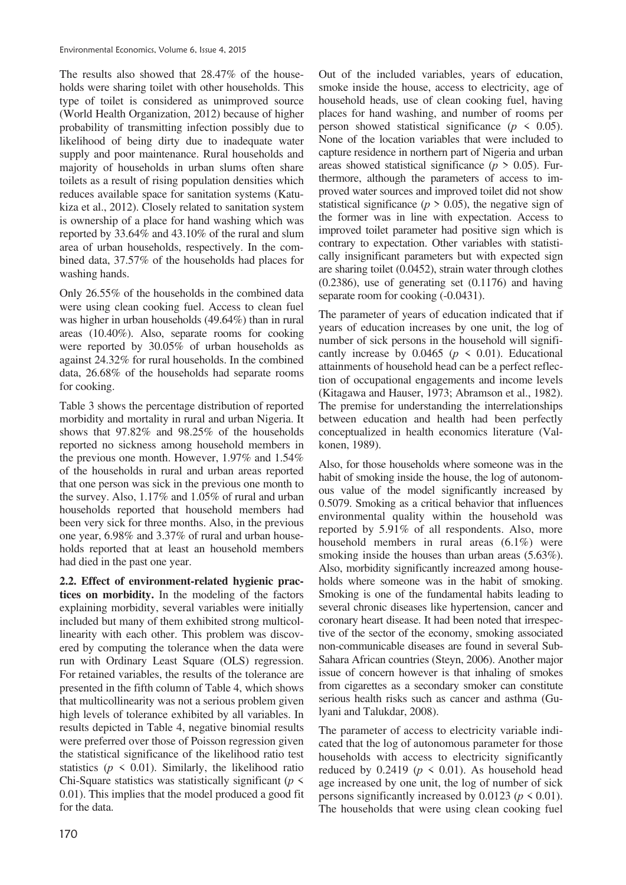The results also showed that 28.47% of the households were sharing toilet with other households. This type of toilet is considered as unimproved source (World Health Organization, 2012) because of higher probability of transmitting infection possibly due to likelihood of being dirty due to inadequate water supply and poor maintenance. Rural households and majority of households in urban slums often share toilets as a result of rising population densities which reduces available space for sanitation systems (Katukiza et al., 2012). Closely related to sanitation system is ownership of a place for hand washing which was reported by 33.64% and 43.10% of the rural and slum area of urban households, respectively. In the combined data, 37.57% of the households had places for washing hands.

Only 26.55% of the households in the combined data were using clean cooking fuel. Access to clean fuel was higher in urban households (49.64%) than in rural areas (10.40%). Also, separate rooms for cooking were reported by 30.05% of urban households as against 24.32% for rural households. In the combined data, 26.68% of the households had separate rooms for cooking.

Table 3 shows the percentage distribution of reported morbidity and mortality in rural and urban Nigeria. It shows that 97.82% and 98.25% of the households reported no sickness among household members in the previous one month. However, 1.97% and 1.54% of the households in rural and urban areas reported that one person was sick in the previous one month to the survey. Also, 1.17% and 1.05% of rural and urban households reported that household members had been very sick for three months. Also, in the previous one year, 6.98% and 3.37% of rural and urban households reported that at least an household members had died in the past one year.

**2.2. Effect of environment-related hygienic practices on morbidity.** In the modeling of the factors explaining morbidity, several variables were initially included but many of them exhibited strong multicollinearity with each other. This problem was discovered by computing the tolerance when the data were run with Ordinary Least Square (OLS) regression. For retained variables, the results of the tolerance are presented in the fifth column of Table 4, which shows that multicollinearity was not a serious problem given high levels of tolerance exhibited by all variables. In results depicted in Table 4, negative binomial results were preferred over those of Poisson regression given the statistical significance of the likelihood ratio test statistics  $(p \leq 0.01)$ . Similarly, the likelihood ratio Chi-Square statistics was statistically significant (*p* < 0.01). This implies that the model produced a good fit for the data.

Out of the included variables, years of education, smoke inside the house, access to electricity, age of household heads, use of clean cooking fuel, having places for hand washing, and number of rooms per person showed statistical significance ( $p \leq 0.05$ ). None of the location variables that were included to capture residence in northern part of Nigeria and urban areas showed statistical significance ( $p > 0.05$ ). Furthermore, although the parameters of access to improved water sources and improved toilet did not show statistical significance ( $p > 0.05$ ), the negative sign of the former was in line with expectation. Access to improved toilet parameter had positive sign which is contrary to expectation. Other variables with statistically insignificant parameters but with expected sign are sharing toilet (0.0452), strain water through clothes (0.2386), use of generating set (0.1176) and having separate room for cooking  $(-0.0431)$ .

The parameter of years of education indicated that if years of education increases by one unit, the log of number of sick persons in the household will significantly increase by  $0.0465$  ( $p \le 0.01$ ). Educational attainments of household head can be a perfect reflection of occupational engagements and income levels (Kitagawa and Hauser, 1973; Abramson et al., 1982). The premise for understanding the interrelationships between education and health had been perfectly conceptualized in health economics literature (Valkonen, 1989).

Also, for those households where someone was in the habit of smoking inside the house, the log of autonomous value of the model significantly increased by 0.5079. Smoking as a critical behavior that influences environmental quality within the household was reported by 5.91% of all respondents. Also, more household members in rural areas (6.1%) were smoking inside the houses than urban areas  $(5.63\%)$ . Also, morbidity significantly increazed among households where someone was in the habit of smoking. Smoking is one of the fundamental habits leading to several chronic diseases like hypertension, cancer and coronary heart disease. It had been noted that irrespective of the sector of the economy, smoking associated non-communicable diseases are found in several Sub-Sahara African countries (Steyn, 2006). Another major issue of concern however is that inhaling of smokes from cigarettes as a secondary smoker can constitute serious health risks such as cancer and asthma (Gulyani and Talukdar, 2008).

The parameter of access to electricity variable indicated that the log of autonomous parameter for those households with access to electricity significantly reduced by  $0.2419$  ( $p \le 0.01$ ). As household head age increased by one unit, the log of number of sick persons significantly increased by  $0.0123$  ( $p \le 0.01$ ). The households that were using clean cooking fuel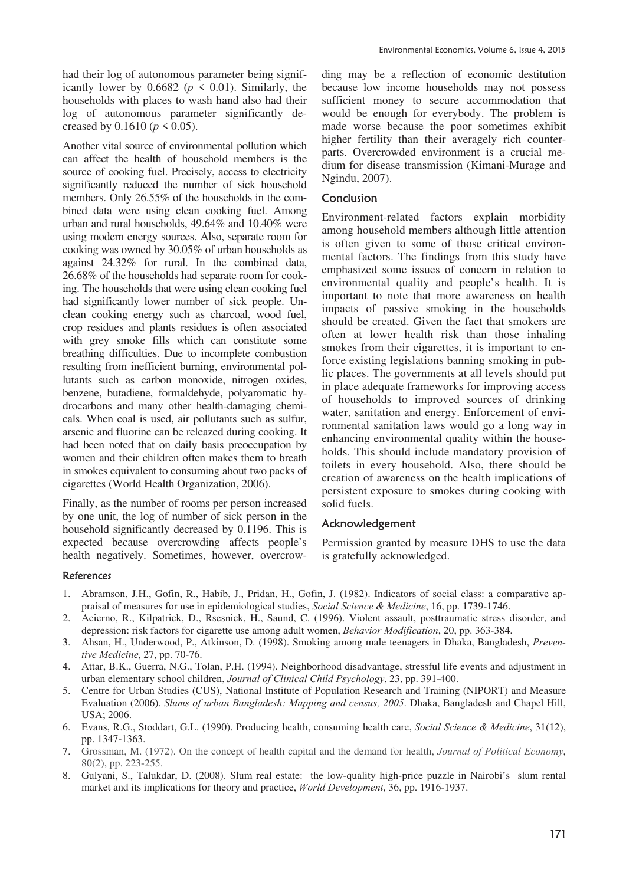had their log of autonomous parameter being significantly lower by  $0.6682$  ( $p \le 0.01$ ). Similarly, the households with places to wash hand also had their log of autonomous parameter significantly decreased by  $0.1610 (p \le 0.05)$ .

Another vital source of environmental pollution which can affect the health of household members is the source of cooking fuel. Precisely, access to electricity significantly reduced the number of sick household members. Only 26.55% of the households in the combined data were using clean cooking fuel. Among urban and rural households, 49.64% and 10.40% were using modern energy sources. Also, separate room for cooking was owned by 30.05% of urban households as against 24.32% for rural. In the combined data, 26.68% of the households had separate room for cooking. The households that were using clean cooking fuel had significantly lower number of sick people. Unclean cooking energy such as charcoal, wood fuel, crop residues and plants residues is often associated with grey smoke fills which can constitute some breathing difficulties. Due to incomplete combustion resulting from inefficient burning, environmental pollutants such as carbon monoxide, nitrogen oxides, benzene, butadiene, formaldehyde, polyaromatic hydrocarbons and many other health-damaging chemicals. When coal is used, air pollutants such as sulfur, arsenic and fluorine can be releazed during cooking. It had been noted that on daily basis preoccupation by women and their children often makes them to breath in smokes equivalent to consuming about two packs of cigarettes (World Health Organization, 2006).

Finally, as the number of rooms per person increased by one unit, the log of number of sick person in the household significantly decreased by 0.1196. This is expected because overcrowding affects people's health negatively. Sometimes, however, overcrowding may be a reflection of economic destitution because low income households may not possess sufficient money to secure accommodation that would be enough for everybody. The problem is made worse because the poor sometimes exhibit higher fertility than their averagely rich counterparts. Overcrowded environment is a crucial medium for disease transmission (Kimani-Murage and Ngindu, 2007).

#### Conclusion

Environment-related factors explain morbidity among household members although little attention is often given to some of those critical environmental factors. The findings from this study have emphasized some issues of concern in relation to environmental quality and people's health. It is important to note that more awareness on health impacts of passive smoking in the households should be created. Given the fact that smokers are often at lower health risk than those inhaling smokes from their cigarettes, it is important to enforce existing legislations banning smoking in public places. The governments at all levels should put in place adequate frameworks for improving access of households to improved sources of drinking water, sanitation and energy. Enforcement of environmental sanitation laws would go a long way in enhancing environmental quality within the households. This should include mandatory provision of toilets in every household. Also, there should be creation of awareness on the health implications of persistent exposure to smokes during cooking with solid fuels.

#### Acknowledgement

Permission granted by measure DHS to use the data is gratefully acknowledged.

#### References

- 1. Abramson, J.H., Gofin, R., Habib, J., Pridan, H., Gofin, J. (1982). Indicators of social class: a comparative appraisal of measures for use in epidemiological studies, *Social Science & Medicine*, 16, pp. 1739-1746.
- 2. Acierno, R., Kilpatrick, D., Rsesnick, H., Saund, C. (1996). Violent assault, posttraumatic stress disorder, and depression: risk factors for cigarette use among adult women, *Behavior Modification*, 20, pp. 363-384.
- 3. Ahsan, H., Underwood, P., Atkinson, D. (1998). Smoking among male teenagers in Dhaka, Bangladesh, *Preventive Medicine*, 27, pp. 70-76.
- 4. Attar, B.K., Guerra, N.G., Tolan, P.H. (1994). Neighborhood disadvantage, stressful life events and adjustment in urban elementary school children, *Journal of Clinical Child Psychology*, 23, pp. 391-400.
- 5. Centre for Urban Studies (CUS), National Institute of Population Research and Training (NIPORT) and Measure Evaluation (2006). *Slums of urban Bangladesh: Mapping and census, 2005*. Dhaka, Bangladesh and Chapel Hill, USA; 2006.
- 6. Evans, R.G., Stoddart, G.L. (1990). Producing health, consuming health care, *Social Science & Medicine*, 31(12), pp. 1347-1363.
- 7. Grossman, M. (1972). On the concept of health capital and the demand for health, *Journal of Political Economy*, 80(2), pp. 223-255.
- 8. Gulyani, S., Talukdar, D. (2008). Slum real estate: the low-quality high-price puzzle in Nairobi's slum rental market and its implications for theory and practice, *World Development*, 36, pp. 1916-1937.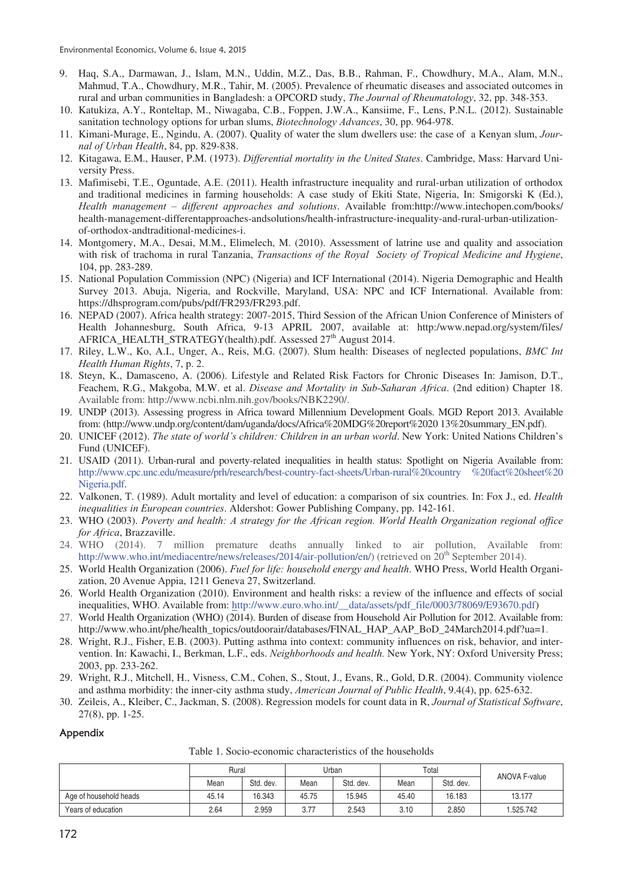- 9. Haq, S.A., Darmawan, J., Islam, M.N., Uddin, M.Z., Das, B.B., Rahman, F., Chowdhury, M.A., Alam, M.N., Mahmud, T.A., Chowdhury, M.R., Tahir, M. (2005). Prevalence of rheumatic diseases and associated outcomes in rural and urban communities in Bangladesh: a OPCORD study, *The Journal of Rheumatology*, 32, pp. 348-353.
- 10. Katukiza, A.Y., Ronteltap, M., Niwagaba, C.B., Foppen, J.W.A., Kansiime, F., Lens, P.N.L. (2012). Sustainable sanitation technology options for urban slums, *Biotechnology Advances*, 30, pp. 964-978.
- 11. Kimani-Murage, E., Ngindu, A. (2007). Quality of water the slum dwellers use: the case of a Kenyan slum, *Journal of Urban Health*, 84, pp. 829-838.
- 12. Kitagawa, E.M., Hauser, P.M. (1973). *Differential mortality in the United States*. Cambridge, Mass: Harvard University Press.
- 13. Mafimisebi, T.E., Oguntade, A.E. (2011). Health infrastructure inequality and rural-urban utilization of orthodox and traditional medicines in farming households: A case study of Ekiti State, Nigeria, In: Smigorski K (Ed.), *Health management – different approaches and solutions*. Available from:http://www.intechopen.com/books/ health-management-differentapproaches-andsolutions/health-infrastructure-inequality-and-rural-urban-utilizationof-orthodox-andtraditional-medicines-i.
- 14. Montgomery, M.A., Desai, M.M., Elimelech, M. (2010). Assessment of latrine use and quality and association with risk of trachoma in rural Tanzania, *Transactions of the Royal Society of Tropical Medicine and Hygiene*, 104, pp. 283-289.
- 15. National Population Commission (NPC) (Nigeria) and ICF International (2014). Nigeria Demographic and Health Survey 2013. Abuja, Nigeria, and Rockville, Maryland, USA: NPC and ICF International. Available from: https://dhsprogram.com/pubs/pdf/FR293/FR293.pdf.
- 16. NEPAD (2007). Africa health strategy: 2007-2015, Third Session of the African Union Conference of Ministers of Health Johannesburg, South Africa, 9-13 APRIL 2007, available at: http:/www.nepad.org/system/files/ AFRICA\_HEALTH\_STRATEGY(health).pdf. Assessed 27<sup>th</sup> August 2014.
- 17. Riley, L.W., Ko, A.I., Unger, A., Reis, M.G. (2007). Slum health: Diseases of neglected populations, *BMC Int Health Human Rights*, 7, p. 2.
- 18. Steyn, K., Damasceno, A. (2006). Lifestyle and Related Risk Factors for Chronic Diseases In: Jamison, D.T., Feachem, R.G., Makgoba, M.W. et al. *Disease and Mortality in Sub-Saharan Africa*. (2nd edition) Chapter 18. Available from: http://www.ncbi.nlm.nih.gov/books/NBK2290/.
- 19. UNDP (2013). Assessing progress in Africa toward Millennium Development Goals. MGD Report 2013. Available from: (http://www.undp.org/content/dam/uganda/docs/Africa%20MDG%20report%2020 13%20summary\_EN.pdf).
- 20. UNICEF (2012). *The state of world's children: Children in an urban world*. New York: United Nations Children's Fund (UNICEF).
- 21. USAID (2011). Urban-rural and poverty-related inequalities in health status: Spotlight on Nigeria Available from: http://www.cpc.unc.edu/measure/prh/research/best-country-fact-sheets/Urban-rural%20country %20fact%20sheet%20 Nigeria.pdf.
- 22. Valkonen, T. (1989). Adult mortality and level of education: a comparison of six countries. In: Fox J., ed. *Health inequalities in European countries*. Aldershot: Gower Publishing Company, pp. 142-161.
- 23. WHO (2003). *Poverty and health: A strategy for the African region. World Health Organization regional office for Africa*, Brazzaville.
- 24. WHO (2014). 7 million premature deaths annually linked to air pollution, Available from: http://www.who.int/mediacentre/news/releases/2014/air-pollution/en/) (retrieved on 20<sup>th</sup> September 2014).
- 25. World Health Organization (2006). *Fuel for life: household energy and health*. WHO Press, World Health Organization, 20 Avenue Appia, 1211 Geneva 27, Switzerland.
- 26. World Health Organization (2010). Environment and health risks: a review of the influence and effects of social inequalities, WHO. Available from: http://www.euro.who.int/\_\_data/assets/pdf\_file/0003/78069/E93670.pdf)
- 27. World Health Organization (WHO) (2014). Burden of disease from Household Air Pollution for 2012. Available from: http://www.who.int/phe/health\_topics/outdoorair/databases/FINAL\_HAP\_AAP\_BoD\_24March2014.pdf?ua=1.
- 28. Wright, R.J., Fisher, E.B. (2003). Putting asthma into context: community influences on risk, behavior, and intervention. In: Kawachi, I., Berkman, L.F., eds. *Neighborhoods and health.* New York, NY: Oxford University Press; 2003, pp. 233-262.
- 29. Wright, R.J., Mitchell, H., Visness, C.M., Cohen, S., Stout, J., Evans, R., Gold, D.R. (2004). Community violence and asthma morbidity: the inner-city asthma study, *American Journal of Public Health*, 9.4(4), pp. 625-632.
- 30. Zeileis, A., Kleiber, C., Jackman, S. (2008). Regression models for count data in R, *Journal of Statistical Software*, 27(8), pp. 1-25.

#### Appendix

|                        | Rural |           | Urban |           | Total |           | ANOVA F-value |
|------------------------|-------|-----------|-------|-----------|-------|-----------|---------------|
|                        | Mean  | Std. dev. | Mean  | Std. dev. | Mean  | Std. dev. |               |
| Age of household heads | 45.14 | 16.343    | 45.75 | 15.945    | 45.40 | 16.183    | 13.177        |
| Years of education     | 2.64  | 2.959     | 3.77  | 2.543     | 3.10  | 2.850     | .525.742      |

Table 1. Socio-economic characteristics of the households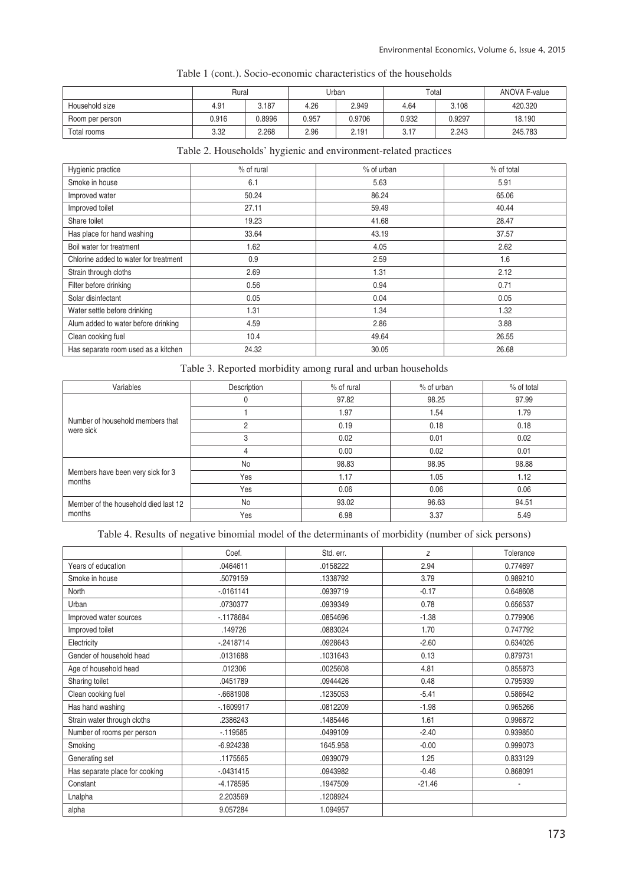|                 | Rural |        |       | Urban  |       | $\tau$ otal | ANOVA F-value |
|-----------------|-------|--------|-------|--------|-------|-------------|---------------|
| Household size  | 4.91  | 3.187  | 4.26  | 2.949  | 4.64  | 3.108       | 420.320       |
| Room per person | 0.916 | 0.8996 | 0.957 | 0.9706 | 0.932 | 0.9297      | 18.190        |
| Total rooms     | 3.32  | 2.268  | 2.96  | 2.191  | 3.17  | 2.243       | 245.783       |

Table 1 (cont.). Socio-economic characteristics of the households

| Hygienic practice                     | % of rural | % of urban | % of total |
|---------------------------------------|------------|------------|------------|
| Smoke in house                        | 6.1        | 5.63       | 5.91       |
| Improved water                        | 50.24      | 86.24      | 65.06      |
| Improved toilet                       | 27.11      | 59.49      | 40.44      |
| Share toilet                          | 19.23      | 41.68      | 28.47      |
| Has place for hand washing            | 33.64      | 43.19      | 37.57      |
| Boil water for treatment              | 1.62       | 4.05       | 2.62       |
| Chlorine added to water for treatment | 0.9        | 2.59       | 1.6        |
| Strain through cloths                 | 2.69       | 1.31       | 2.12       |
| Filter before drinking                | 0.56       | 0.94       | 0.71       |
| Solar disinfectant                    | 0.05       | 0.04       | 0.05       |
| Water settle before drinking          | 1.31       | 1.34       | 1.32       |
| Alum added to water before drinking   | 4.59       | 2.86       | 3.88       |
| Clean cooking fuel                    | 10.4       | 49.64      | 26.55      |
| Has separate room used as a kitchen   | 24.32      | 30.05      | 26.68      |

Table 2. Households' hygienic and environment-related practices

| Variables                                      | Description | $%$ of rural | $%$ of urban | % of total |
|------------------------------------------------|-------------|--------------|--------------|------------|
| Number of household members that<br>were sick  |             | 97.82        | 98.25        | 97.99      |
|                                                |             | 1.97         | 1.54         | 1.79       |
|                                                |             | 0.19         | 0.18         | 0.18       |
|                                                | 3           | 0.02         | 0.01         | 0.02       |
|                                                | 4           | 0.00         | 0.02         | 0.01       |
| Members have been very sick for 3<br>months    | No          | 98.83        | 98.95        | 98.88      |
|                                                | Yes         | 1.17         | 1.05         | 1.12       |
|                                                | Yes         | 0.06         | 0.06         | 0.06       |
| Member of the household died last 12<br>months | No          | 93.02        | 96.63        | 94.51      |
|                                                | Yes         | 6.98         | 3.37         | 5.49       |

Table 4. Results of negative binomial model of the determinants of morbidity (number of sick persons)

|                                | Coef.        | Std. err. | Z        | Tolerance |
|--------------------------------|--------------|-----------|----------|-----------|
| Years of education             | .0464611     | .0158222  | 2.94     | 0.774697  |
| Smoke in house                 | .5079159     | .1338792  | 3.79     | 0.989210  |
| North                          | $-0.0161141$ | .0939719  | $-0.17$  | 0.648608  |
| Urban                          | .0730377     | .0939349  | 0.78     | 0.656537  |
| Improved water sources         | $-1178684$   | .0854696  | $-1.38$  | 0.779906  |
| Improved toilet                | .149726      | .0883024  | 1.70     | 0.747792  |
| Electricity                    | $-2418714$   | .0928643  | $-2.60$  | 0.634026  |
| Gender of household head       | .0131688     | .1031643  | 0.13     | 0.879731  |
| Age of household head          | .012306      | .0025608  | 4.81     | 0.855873  |
| Sharing toilet                 | .0451789     | .0944426  | 0.48     | 0.795939  |
| Clean cooking fuel             | $-0.6681908$ | .1235053  | $-5.41$  | 0.586642  |
| Has hand washing               | $-1609917$   | .0812209  | $-1.98$  | 0.965266  |
| Strain water through cloths    | .2386243     | .1485446  | 1.61     | 0.996872  |
| Number of rooms per person     | $-119585$    | .0499109  | $-2.40$  | 0.939850  |
| Smoking                        | $-6.924238$  | 1645.958  | $-0.00$  | 0.999073  |
| Generating set                 | .1175565     | .0939079  | 1.25     | 0.833129  |
| Has separate place for cooking | $-0.0431415$ | .0943982  | $-0.46$  | 0.868091  |
| Constant                       | -4.178595    | .1947509  | $-21.46$ |           |
| Lnalpha                        | 2.203569     | .1208924  |          |           |
| alpha                          | 9.057284     | 1.094957  |          |           |